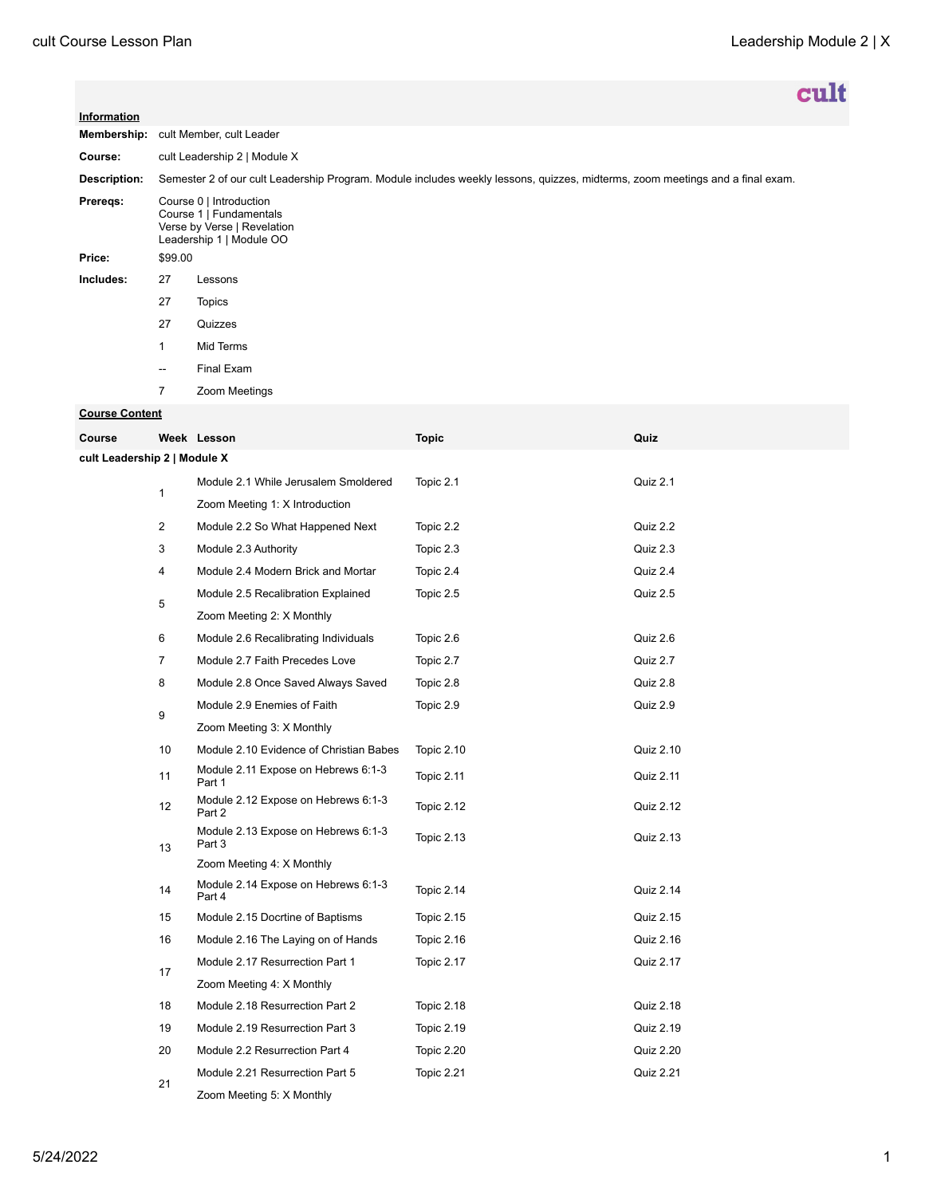|              |                                                                                                                               |                          | cult |  |
|--------------|-------------------------------------------------------------------------------------------------------------------------------|--------------------------|------|--|
|              |                                                                                                                               |                          |      |  |
| Information  |                                                                                                                               |                          |      |  |
| Membership:  |                                                                                                                               | cult Member, cult Leader |      |  |
| Course:      | cult Leadership 2   Module X                                                                                                  |                          |      |  |
| Description: | Semester 2 of our cult Leadership Program. Module includes weekly lessons, quizzes, midterms, zoom meetings and a final exam. |                          |      |  |
| Preregs:     | Course 0   Introduction<br>Course 1   Fundamentals<br>Verse by Verse   Revelation<br>Leadership 1   Module OO                 |                          |      |  |
| Price:       | \$99.00                                                                                                                       |                          |      |  |
| Includes:    | 27                                                                                                                            | Lessons                  |      |  |
|              | 27                                                                                                                            | <b>Topics</b>            |      |  |
|              | 27                                                                                                                            | Quizzes                  |      |  |
|              | $\mathbf{1}$                                                                                                                  | Mid Terms                |      |  |
|              | $\hspace{0.05cm}$                                                                                                             | Final Exam               |      |  |
|              | $\overline{7}$                                                                                                                | Zoom Meetings            |      |  |

## **Course Content**

| Course                       |                | Week Lesson                                   | <b>Topic</b>      | Quiz             |  |  |  |  |
|------------------------------|----------------|-----------------------------------------------|-------------------|------------------|--|--|--|--|
| cult Leadership 2   Module X |                |                                               |                   |                  |  |  |  |  |
|                              |                | Module 2.1 While Jerusalem Smoldered          | Topic 2.1         | Quiz 2.1         |  |  |  |  |
|                              | $\mathbf{1}$   | Zoom Meeting 1: X Introduction                |                   |                  |  |  |  |  |
|                              | $\overline{2}$ | Module 2.2 So What Happened Next              | Topic 2.2         | Quiz 2.2         |  |  |  |  |
|                              | 3              | Module 2.3 Authority                          | Topic 2.3         | Quiz 2.3         |  |  |  |  |
|                              | 4              | Module 2.4 Modern Brick and Mortar            | Topic 2.4         | Quiz 2.4         |  |  |  |  |
|                              | 5              | Module 2.5 Recalibration Explained            | Topic 2.5         | Quiz 2.5         |  |  |  |  |
|                              |                | Zoom Meeting 2: X Monthly                     |                   |                  |  |  |  |  |
|                              | 6              | Module 2.6 Recalibrating Individuals          | Topic 2.6         | Quiz 2.6         |  |  |  |  |
|                              | $\overline{7}$ | Module 2.7 Faith Precedes Love                | Topic 2.7         | Quiz 2.7         |  |  |  |  |
|                              | 8              | Module 2.8 Once Saved Always Saved            | Topic 2.8         | Quiz 2.8         |  |  |  |  |
|                              | 9              | Module 2.9 Enemies of Faith                   | Topic 2.9         | Quiz 2.9         |  |  |  |  |
|                              |                | Zoom Meeting 3: X Monthly                     |                   |                  |  |  |  |  |
|                              | 10             | Module 2.10 Evidence of Christian Babes       | <b>Topic 2.10</b> | Quiz 2.10        |  |  |  |  |
|                              | 11             | Module 2.11 Expose on Hebrews 6:1-3<br>Part 1 | <b>Topic 2.11</b> | Quiz 2.11        |  |  |  |  |
|                              | 12             | Module 2.12 Expose on Hebrews 6:1-3<br>Part 2 | Topic 2.12        | Quiz 2.12        |  |  |  |  |
|                              | 13             | Module 2.13 Expose on Hebrews 6:1-3<br>Part 3 | <b>Topic 2.13</b> | Quiz 2.13        |  |  |  |  |
|                              |                | Zoom Meeting 4: X Monthly                     |                   |                  |  |  |  |  |
|                              | 14             | Module 2.14 Expose on Hebrews 6:1-3<br>Part 4 | <b>Topic 2.14</b> | Quiz 2.14        |  |  |  |  |
|                              | 15             | Module 2.15 Docrtine of Baptisms              | <b>Topic 2.15</b> | Quiz 2.15        |  |  |  |  |
|                              | 16             | Module 2.16 The Laying on of Hands            | <b>Topic 2.16</b> | Quiz 2.16        |  |  |  |  |
|                              | 17             | Module 2.17 Resurrection Part 1               | <b>Topic 2.17</b> | Quiz 2.17        |  |  |  |  |
|                              |                | Zoom Meeting 4: X Monthly                     |                   |                  |  |  |  |  |
|                              | 18             | Module 2.18 Resurrection Part 2               | <b>Topic 2.18</b> | Quiz 2.18        |  |  |  |  |
|                              | 19             | Module 2.19 Resurrection Part 3               | <b>Topic 2.19</b> | Quiz 2.19        |  |  |  |  |
|                              | 20             | Module 2.2 Resurrection Part 4                | <b>Topic 2.20</b> | <b>Quiz 2.20</b> |  |  |  |  |
|                              | 21             | Module 2.21 Resurrection Part 5               | Topic 2.21        | <b>Quiz 2.21</b> |  |  |  |  |
|                              |                | Zoom Meeting 5: X Monthly                     |                   |                  |  |  |  |  |